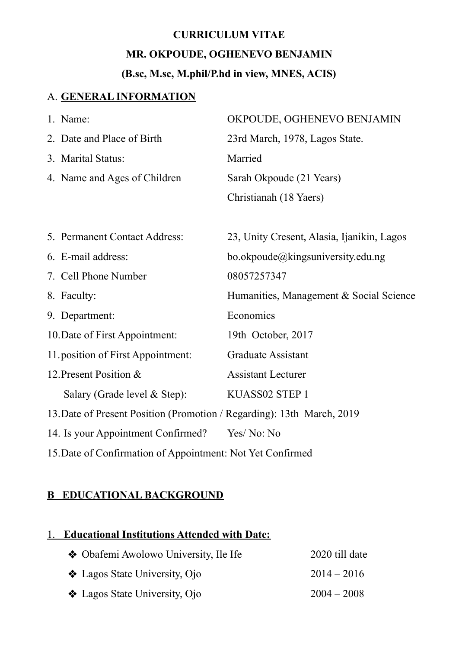# **CURRICULUM VITAE MR. OKPOUDE, OGHENEVO BENJAMIN**

# **(B.sc, M.sc, M.phil/P.hd in view, MNES, ACIS)**

### A. **GENERAL INFORMATION**

|    | 1. Name:                      | OKPOUDE, OGHENEVO BENJAMIN                 |
|----|-------------------------------|--------------------------------------------|
|    | 2. Date and Place of Birth    | 23rd March, 1978, Lagos State.             |
|    | 3. Marital Status:            | Married                                    |
|    | 4. Name and Ages of Children  | Sarah Okpoude (21 Years)                   |
|    |                               | Christianah (18 Yaers)                     |
|    |                               |                                            |
|    | 5. Permanent Contact Address: | 23, Unity Cresent, Alasia, Ijanikin, Lagos |
|    | 6. E-mail address:            | bo.okpoude@kingsuniversity.edu.ng          |
|    | 7. Cell Phone Number          | 08057257347                                |
|    | 8. Faculty:                   | Humanities, Management & Social Science    |
| 9. | Department:                   | Economics                                  |
|    |                               |                                            |

12. Present Position & Assistant Lecturer

Salary (Grade level & Step): KUASS02 STEP 1

13.Date of Present Position (Promotion / Regarding): 13th March, 2019

14. Is your Appointment Confirmed? Yes/ No: No

15.Date of Confirmation of Appointment: Not Yet Confirmed

# **B EDUCATIONAL BACKGROUND**

### 1. **Educational Institutions Attended with Date:**

| ❖ Obafemi Awolowo University, Ile Ife | 2020 till date |
|---------------------------------------|----------------|
| ❖ Lagos State University, Ojo         | $2014 - 2016$  |
| ❖ Lagos State University, Ojo         | $2004 - 2008$  |

10.Date of First Appointment: 19th October, 2017

11.position of First Appointment: Graduate Assistant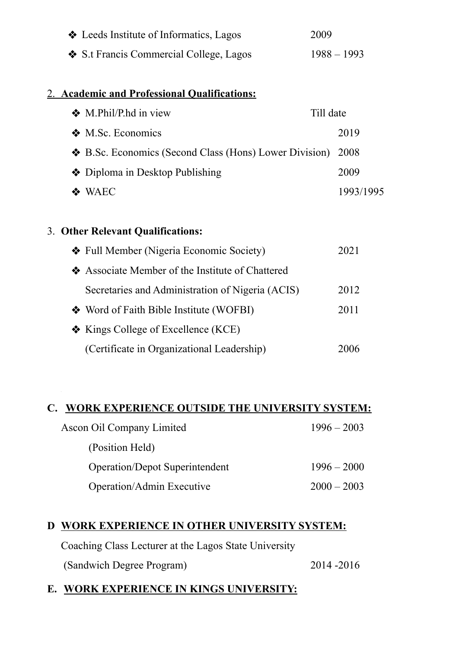| ❖ Leeds Institute of Informatics, Lagos | 2009          |
|-----------------------------------------|---------------|
| ❖ S.t Francis Commercial College, Lagos | $1988 - 1993$ |

### 2. **Academic and Professional Qualifications:**

| ❖ M.Phil/P.hd in view                                       | Till date |           |
|-------------------------------------------------------------|-----------|-----------|
| ❖ M.Sc. Economics                                           | 2019      |           |
| ❖ B.Sc. Economics (Second Class (Hons) Lower Division) 2008 |           |           |
| ❖ Diploma in Desktop Publishing                             | 2009      |           |
| $\triangle$ WAEC                                            |           | 1993/1995 |

#### 3. **Other Relevant Qualifications:**

| ❖ Full Member (Nigeria Economic Society)          | 2021 |
|---------------------------------------------------|------|
| ❖ Associate Member of the Institute of Chattered  |      |
| Secretaries and Administration of Nigeria (ACIS)  | 2012 |
| ❖ Word of Faith Bible Institute (WOFBI)           | 2011 |
| $\triangleleft$ Kings College of Excellence (KCE) |      |
| (Certificate in Organizational Leadership)        | 2006 |

#### **C. WORK EXPERIENCE OUTSIDE THE UNIVERSITY SYSTEM:**

| Ascon Oil Company Limited             | $1996 - 2003$ |
|---------------------------------------|---------------|
| (Position Held)                       |               |
| <b>Operation/Depot Superintendent</b> | $1996 - 2000$ |
| Operation/Admin Executive             | $2000 - 2003$ |

### **D WORK EXPERIENCE IN OTHER UNIVERSITY SYSTEM:**

Coaching Class Lecturer at the Lagos State University

(Sandwich Degree Program) 2014 -2016

# **E. WORK EXPERIENCE IN KINGS UNIVERSITY:**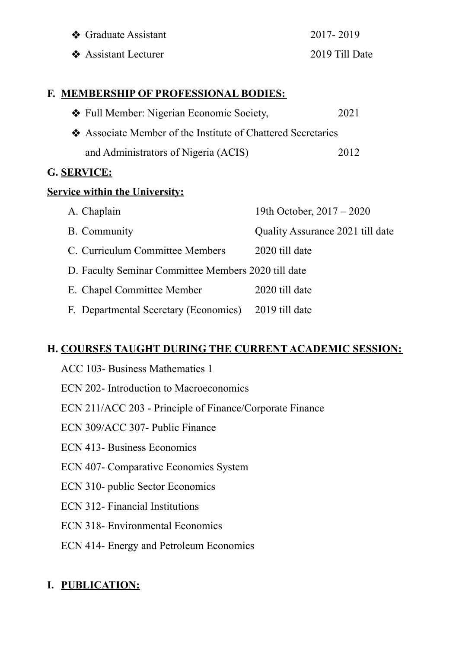| ❖ Graduate Assistant | 2017-2019      |
|----------------------|----------------|
| ❖ Assistant Lecturer | 2019 Till Date |

#### **F. MEMBERSHIP OF PROFESSIONAL BODIES:**

| ❖ Full Member: Nigerian Economic Society,                    | 2021 |
|--------------------------------------------------------------|------|
| ❖ Associate Member of the Institute of Chattered Secretaries |      |
| and Administrators of Nigeria (ACIS)                         | 2012 |

### **G. SERVICE:**

### **Service within the University:**

| A. Chaplain                                          | 19th October, $2017 - 2020$      |  |
|------------------------------------------------------|----------------------------------|--|
| B. Community                                         | Quality Assurance 2021 till date |  |
| C. Curriculum Committee Members                      | 2020 till date                   |  |
| D. Faculty Seminar Committee Members 2020 till date  |                                  |  |
| E. Chapel Committee Member                           | 2020 till date                   |  |
| F. Departmental Secretary (Economics) 2019 till date |                                  |  |

# **H. COURSES TAUGHT DURING THE CURRENT ACADEMIC SESSION:**

- ACC 103- Business Mathematics 1 ECN 202- Introduction to Macroeconomics ECN 211/ACC 203 - Principle of Finance/Corporate Finance ECN 309/ACC 307- Public Finance ECN 413- Business Economics ECN 407- Comparative Economics System ECN 310- public Sector Economics ECN 312- Financial Institutions ECN 318- Environmental Economics
- ECN 414- Energy and Petroleum Economics

# **I. PUBLICATION:**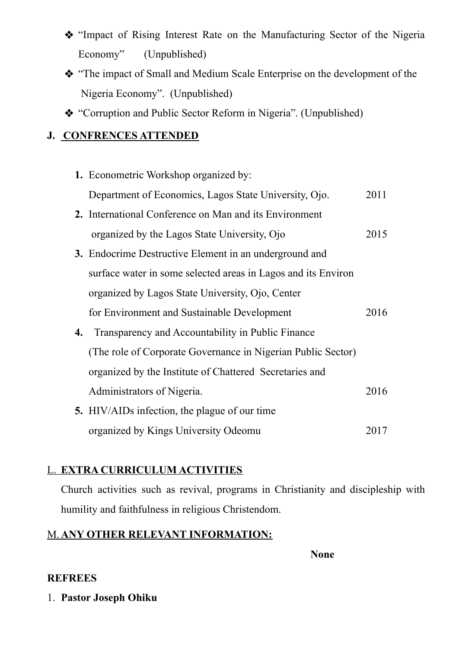- ❖ "Impact of Rising Interest Rate on the Manufacturing Sector of the Nigeria Economy" (Unpublished)
- ❖ "The impact of Small and Medium Scale Enterprise on the development of the Nigeria Economy". (Unpublished)
- ❖ "Corruption and Public Sector Reform in Nigeria". (Unpublished)

# **J. CONFRENCES ATTENDED**

**1.** Econometric Workshop organized by: Department of Economics, Lagos State University, Ojo. 2011 **2.** International Conference on Man and its Environment organized by the Lagos State University, Ojo 2015 **3.** Endocrime Destructive Element in an underground and surface water in some selected areas in Lagos and its Environ organized by Lagos State University, Ojo, Center for Environment and Sustainable Development 2016 **4.** Transparency and Accountability in Public Finance (The role of Corporate Governance in Nigerian Public Sector) organized by the Institute of Chattered Secretaries and Administrators of Nigeria. 2016 **5.** HIV/AIDs infection, the plague of our time organized by Kings University Odeomu 2017

# L. **EXTRA CURRICULUM ACTIVITIES**

Church activities such as revival, programs in Christianity and discipleship with humility and faithfulness in religious Christendom.

# M. **ANY OTHER RELEVANT INFORMATION:**

**None**

# **REFREES**

1. **Pastor Joseph Ohiku**